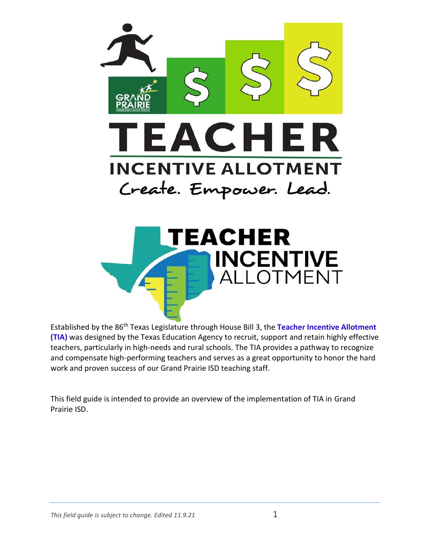



Established by the 86th Texas Legislature through House Bill 3, the **Teacher Incentive Allotment (TIA)** was designed by the Texas Education Agency to recruit, support and retain highly effective teachers, particularly in high-needs and rural schools. The TIA provides a pathway to recognize and compensate high-performing teachers and serves as a great opportunity to honor the hard work and proven success of our Grand Prairie ISD teaching staff.

This field guide is intended to provide an overview of the implementation of TIA in Grand Prairie ISD.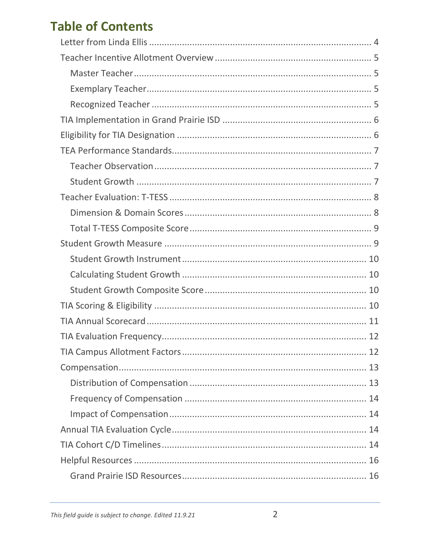### **Table of Contents**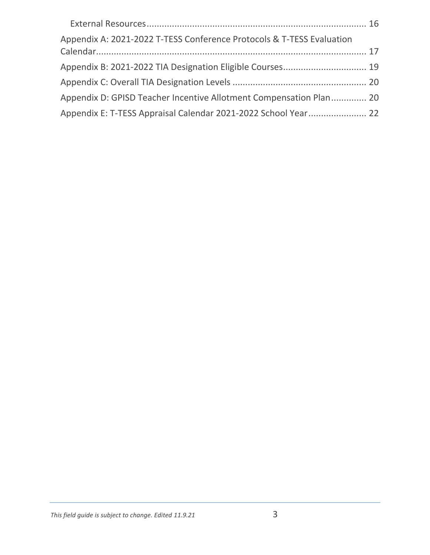| Appendix A: 2021-2022 T-TESS Conference Protocols & T-TESS Evaluation |  |
|-----------------------------------------------------------------------|--|
| Appendix B: 2021-2022 TIA Designation Eligible Courses 19             |  |
|                                                                       |  |
| Appendix D: GPISD Teacher Incentive Allotment Compensation Plan 20    |  |
| Appendix E: T-TESS Appraisal Calendar 2021-2022 School Year 22        |  |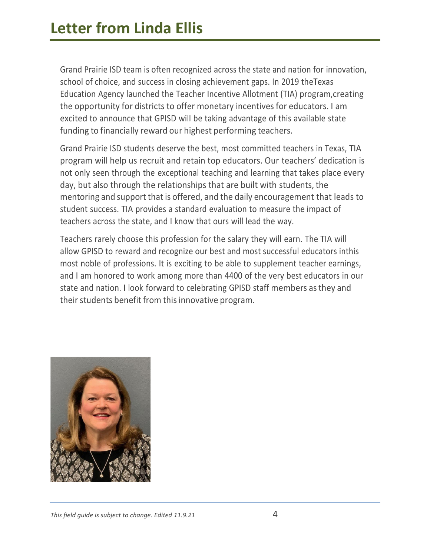<span id="page-3-0"></span>Grand Prairie ISD team is often recognized across the state and nation for innovation, school of choice, and success in closing achievement gaps. In 2019 theTexas Education Agency launched the Teacher Incentive Allotment (TIA) program,creating the opportunity for districts to offer monetary incentives for educators. I am excited to announce that GPISD will be taking advantage of this available state funding to financially reward our highest performing teachers.

Grand Prairie ISD students deserve the best, most committed teachers in Texas, TIA program will help us recruit and retain top educators. Our teachers' dedication is not only seen through the exceptional teaching and learning that takes place every day, but also through the relationships that are built with students, the mentoring and support that is offered, and the daily encouragement that leads to student success. TIA provides a standard evaluation to measure the impact of teachers across the state, and I know that ours will lead the way.

Teachers rarely choose this profession for the salary they will earn. The TIA will allow GPISD to reward and recognize our best and most successful educators inthis most noble of professions. It is exciting to be able to supplement teacher earnings, and I am honored to work among more than 4400 of the very best educators in our state and nation. I look forward to celebrating GPISD staff members asthey and their students benefit from this innovative program.

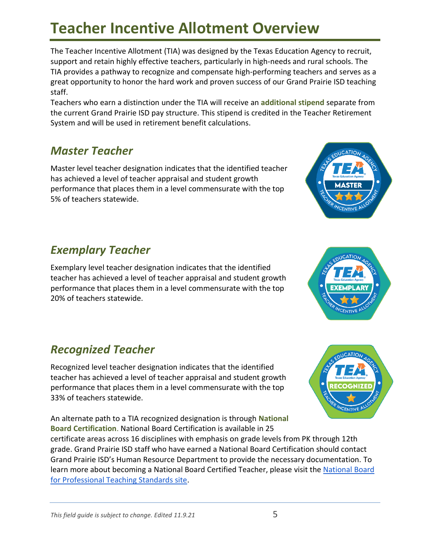## <span id="page-4-0"></span>**Teacher Incentive Allotment Overview**

The Teacher Incentive Allotment (TIA) was designed by the Texas Education Agency to recruit, support and retain highly effective teachers, particularly in high-needs and rural schools. The TIA provides a pathway to recognize and compensate high-performing teachers and serves as a great opportunity to honor the hard work and proven success of our Grand Prairie ISD teaching staff.

Teachers who earn a distinction under the TIA will receive an **additional stipend** separate from the current Grand Prairie ISD pay structure. This stipend is credited in the Teacher Retirement System and will be used in retirement benefit calculations.

### <span id="page-4-1"></span>*Master Teacher*

Master level teacher designation indicates that the identified teacher has achieved a level of teacher appraisal and student growth performance that places them in a level commensurate with the top 5% of teachers statewide.

### <span id="page-4-2"></span>*Exemplary Teacher*

Exemplary level teacher designation indicates that the identified teacher has achieved a level of teacher appraisal and student growth performance that places them in a level commensurate with the top 20% of teachers statewide.

### <span id="page-4-3"></span>*Recognized Teacher*

Recognized level teacher designation indicates that the identified teacher has achieved a level of teacher appraisal and student growth performance that places them in a level commensurate with the top 33% of teachers statewide.

An alternate path to a TIA recognized designation is through **National Board Certification**. National Board Certification is available in 25 certificate areas across 16 disciplines with emphasis on grade levels from PK through 12th grade. Grand Prairie ISD staff who have earned a National Board Certification should contact Grand Prairie ISD's Human Resource Department to provide the necessary documentation. To learn more about becoming a [National Board](https://www.nbpts.org/national-board-certification/) Certified Teacher, please visit the National Board [for Professional Teaching Standards site.](https://www.nbpts.org/national-board-certification/)





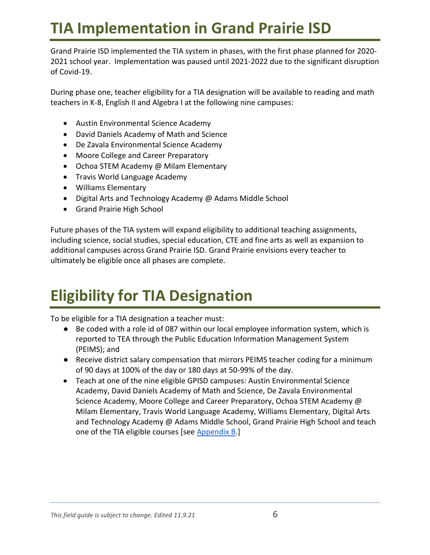## <span id="page-5-0"></span>**TIA Implementation in Grand Prairie ISD**

Grand Prairie ISD implemented the TIA system in phases, with the first phase planned for 2020- 2021 school year. Implementation was paused until 2021-2022 due to the significant disruption of Covid-19.

During phase one, teacher eligibility for a TIA designation will be available to reading and math teachers in K-8, English II and Algebra I at the following nine campuses:

- Austin Environmental Science Academy
- David Daniels Academy of Math and Science
- De Zavala Environmental Science Academy
- Moore College and Career Preparatory
- Ochoa STEM Academy @ Milam Elementary
- Travis World Language Academy
- Williams Elementary
- Digital Arts and Technology Academy @ Adams Middle School
- Grand Prairie High School

Future phases of the TIA system will expand eligibility to additional teaching assignments, including science, social studies, special education, CTE and fine arts as well as expansion to additional campuses across Grand Prairie ISD. Grand Prairie envisions every teacher to ultimately be eligible once all phases are complete.

## <span id="page-5-1"></span>**Eligibility for TIA Designation**

To be eligible for a TIA designation a teacher must:

- Be coded with a role id of 087 within our local employee information system, which is reported to TEA through the Public Education Information Management System (PEIMS); and
- Receive district salary compensation that mirrors PEIMS teacher coding for a minimum of 90 days at 100% of the day or 180 days at 50-99% of the day.
- Teach at one of the nine eligible GPISD campuses: Austin Environmental Science Academy, David Daniels Academy of Math and Science, De Zavala Environmental Science Academy, Moore College and Career Preparatory, Ochoa STEM Academy @ Milam Elementary, Travis World Language Academy, Williams Elementary, Digital Arts and Technology Academy @ Adams Middle School, Grand Prairie High School and teach one of the TIA eligible courses [see [Appendix B.](#page-18-0)]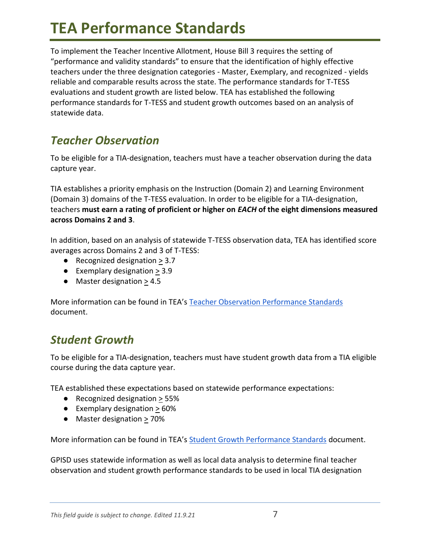## <span id="page-6-0"></span>**TEA Performance Standards**

To implement the Teacher Incentive Allotment, House Bill 3 requires the setting of "performance and validity standards" to ensure that the identification of highly effective teachers under the three designation categories - Master, Exemplary, and recognized - yields reliable and comparable results across the state. The performance standards for T-TESS evaluations and student growth are listed below. TEA has established the following performance standards for T-TESS and student growth outcomes based on an analysis of statewide data.

### <span id="page-6-1"></span>*Teacher Observation*

To be eligible for a TIA-designation, teachers must have a teacher observation during the data capture year.

TIA establishes a priority emphasis on the Instruction (Domain 2) and Learning Environment (Domain 3) domains of the T-TESS evaluation. In order to be eligible for a TIA-designation, teachers **must earn a rating of proficient or higher on** *EACH* **of the eight dimensions measured across Domains 2 and 3**.

In addition, based on an analysis of statewide T-TESS observation data, TEA has identified score averages across Domains 2 and 3 of T-TESS:

- Recognized designation > 3.7
- $\bullet$  Exemplary designation  $> 3.9$
- Master designation > 4.5

More information can be found in TEA's [Teacher Observation Performance Standards](https://tea.texas.gov/sites/default/files/Teacher%20Observation%20Performance%20Standards.pdf) document.

### <span id="page-6-2"></span>*Student Growth*

To be eligible for a TIA-designation, teachers must have student growth data from a TIA eligible course during the data capture year.

TEA established these expectations based on statewide performance expectations:

- Recognized designation > 55%
- $\bullet$  Exemplary designation  $>60\%$
- Master designation > 70%

More information can be found in TEA's [Student Growth Performance Standards](https://tea.texas.gov/sites/default/files/Student%20Growth%20Performance%20Standards.pdf) document.

GPISD uses statewide information as well as local data analysis to determine final teacher observation and student growth performance standards to be used in local TIA designation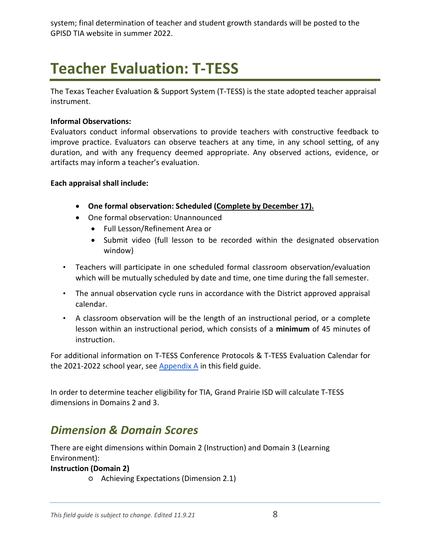<span id="page-7-0"></span>system; final determination of teacher and student growth standards will be posted to the GPISD TIA website in summer 2022.

# **Teacher Evaluation: T-TESS**

The Texas Teacher Evaluation & Support System (T-TESS) is the state adopted teacher appraisal instrument.

#### **Informal Observations:**

Evaluators conduct informal observations to provide teachers with constructive feedback to improve practice. Evaluators can observe teachers at any time, in any school setting, of any duration, and with any frequency deemed appropriate. Any observed actions, evidence, or artifacts may inform a teacher's evaluation.

#### **Each appraisal shall include:**

- **One formal observation: Scheduled (Complete by December 17).**
- One formal observation: Unannounced
	- Full Lesson/Refinement Area or
	- Submit video (full lesson to be recorded within the designated observation window)
- Teachers will participate in one scheduled formal classroom observation/evaluation which will be mutually scheduled by date and time, one time during the fall semester.
- The annual observation cycle runs in accordance with the District approved appraisal calendar.
- A classroom observation will be the length of an instructional period, or a complete lesson within an instructional period, which consists of a **minimum** of 45 minutes of instruction.

For additional information on T-TESS Conference Protocols & T-TESS Evaluation Calendar for the 2021-2022 school year, see Appendix  $A$  in this field guide.

In order to determine teacher eligibility for TIA, Grand Prairie ISD will calculate T-TESS dimensions in Domains 2 and 3.

#### <span id="page-7-1"></span>*Dimension & Domain Scores*

There are eight dimensions within Domain 2 (Instruction) and Domain 3 (Learning Environment):

#### **Instruction (Domain 2)**

○ Achieving Expectations (Dimension 2.1)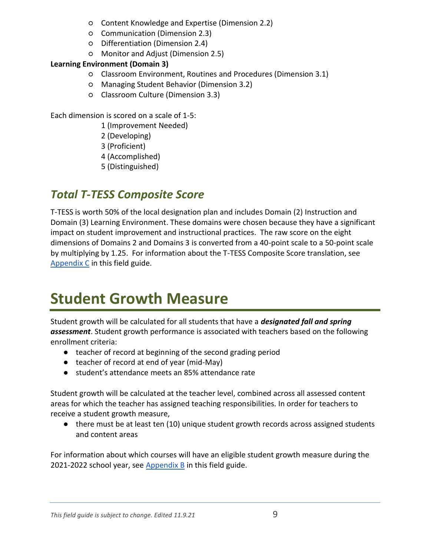- Content Knowledge and Expertise (Dimension 2.2)
- Communication (Dimension 2.3)
- Differentiation (Dimension 2.4)
- Monitor and Adjust (Dimension 2.5)

#### **Learning Environment (Domain 3)**

- Classroom Environment, Routines and Procedures (Dimension 3.1)
- Managing Student Behavior (Dimension 3.2)
- Classroom Culture (Dimension 3.3)

Each dimension is scored on a scale of 1-5:

- 1 (Improvement Needed)
- 2 (Developing)
- 3 (Proficient)
- 4 (Accomplished)
- 5 (Distinguished)

### <span id="page-8-0"></span>*Total T-TESS Composite Score*

T-TESS is worth 50% of the local designation plan and includes Domain (2) Instruction and Domain (3) Learning Environment. These domains were chosen because they have a significant impact on student improvement and instructional practices. The raw score on the eight dimensions of Domains 2 and Domains 3 is converted from a 40-point scale to a 50-point scale by multiplying by 1.25. For information about the T-TESS Composite Score translation, see [Appendix C](#page-19-0) in this field guide.

## <span id="page-8-1"></span>**Student Growth Measure**

Student growth will be calculated for all students that have a *designated fall and spring assessment*. Student growth performance is associated with teachers based on the following enrollment criteria:

- teacher of record at beginning of the second grading period
- teacher of record at end of year (mid-May)
- student's attendance meets an 85% attendance rate

Student growth will be calculated at the teacher level, combined across all assessed content areas for which the teacher has assigned teaching responsibilities. In order for teachers to receive a student growth measure,

● there must be at least ten (10) unique student growth records across assigned students and content areas

For information about which courses will have an eligible student growth measure during the 2021-2022 school year, see [Appendix B](#page-18-0) in this field guide.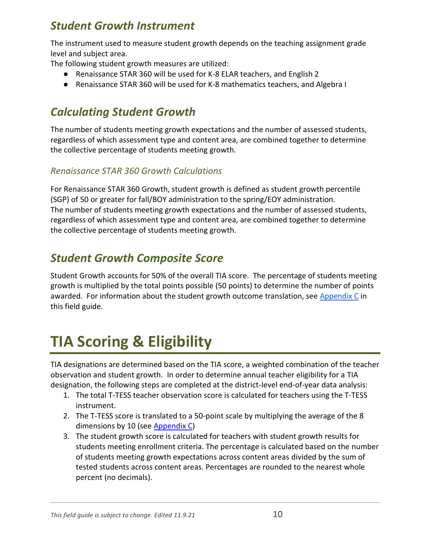### <span id="page-9-0"></span>*Student Growth Instrument*

The instrument used to measure student growth depends on the teaching assignment grade level and subject area.

The following student growth measures are utilized:

- Renaissance STAR 360 will be used for K-8 ELAR teachers, and English 2
- Renaissance STAR 360 will be used for K-8 mathematics teachers, and Algebra I

### <span id="page-9-1"></span>*Calculating Student Growth*

The number of students meeting growth expectations and the number of assessed students, regardless of which assessment type and content area, are combined together to determine the collective percentage of students meeting growth.

#### *Renaissance STAR 360 Growth Calculations*

For Renaissance STAR 360 Growth, student growth is defined as student growth percentile (SGP) of 50 or greater for fall/BOY administration to the spring/EOY administration. The number of students meeting growth expectations and the number of assessed students, regardless of which assessment type and content area, are combined together to determine the collective percentage of students meeting growth.

### <span id="page-9-2"></span>*Student Growth Composite Score*

Student Growth accounts for 50% of the overall TIA score. The percentage of students meeting growth is multiplied by the total points possible (50 points) to determine the number of points awarded. For information about the student growth outcome translation, see [Appendix C](#page-19-0) in this field guide.

# <span id="page-9-3"></span>**TIA Scoring & Eligibility**

TIA designations are determined based on the TIA score, a weighted combination of the teacher observation and student growth. In order to determine annual teacher eligibility for a TIA designation, the following steps are completed at the district-level end-of-year data analysis:

- 1. The total T-TESS teacher observation score is calculated for teachers using the T-TESS instrument.
- 2. The T-TESS score is translated to a 50-point scale by multiplying the average of the 8 dimensions by 10 (se[e Appendix C\)](#page-19-0)
- 3. The student growth score is calculated for teachers with student growth results for students meeting enrollment criteria. The percentage is calculated based on the number of students meeting growth expectations across content areas divided by the sum of tested students across content areas. Percentages are rounded to the nearest whole percent (no decimals).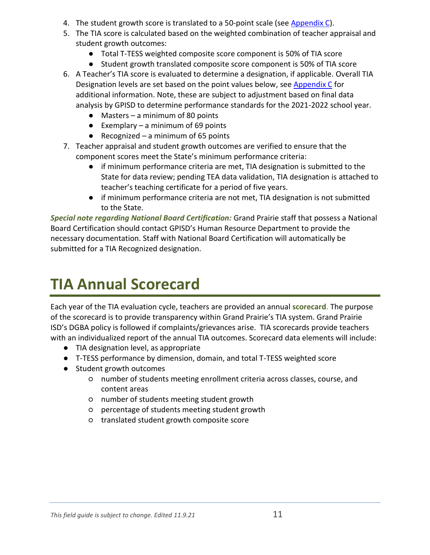- 4. The student growth score is translated to a 50-point scale (see [Appendix C\)](#page-19-0).
- 5. The TIA score is calculated based on the weighted combination of teacher appraisal and student growth outcomes:
	- Total T-TESS weighted composite score component is 50% of TIA score
	- Student growth translated composite score component is 50% of TIA score
- 6. A Teacher's TIA score is evaluated to determine a designation, if applicable. Overall TIA Designation levels are set based on the point values below, see [Appendix C](#page-19-0) for additional information. Note, these are subject to adjustment based on final data analysis by GPISD to determine performance standards for the 2021-2022 school year.
	- $\bullet$  Masters a minimum of 80 points
	- **•** Exemplary a minimum of 69 points
	- Recognized a minimum of 65 points
- 7. Teacher appraisal and student growth outcomes are verified to ensure that the component scores meet the State's minimum performance criteria:
	- if minimum performance criteria are met, TIA designation is submitted to the State for data review; pending TEA data validation, TIA designation is attached to teacher's teaching certificate for a period of five years.
	- if minimum performance criteria are not met, TIA designation is not submitted to the State.

*Special note regarding National Board Certification:* Grand Prairie staff that possess a National Board Certification should contact GPISD's Human Resource Department to provide the necessary documentation. Staff with National Board Certification will automatically be submitted for a TIA Recognized designation.

## <span id="page-10-0"></span>**TIA Annual Scorecard**

Each year of the TIA evaluation cycle, teachers are provided an annual **scorecard**. The purpose of the scorecard is to provide transparency within Grand Prairie's TIA system. Grand Prairie ISD's DGBA policy is followed if complaints/grievances arise. TIA scorecards provide teachers with an individualized report of the annual TIA outcomes. Scorecard data elements will include:

- TIA designation level, as appropriate
- T-TESS performance by dimension, domain, and total T-TESS weighted score
- Student growth outcomes
	- number of students meeting enrollment criteria across classes, course, and content areas
	- number of students meeting student growth
	- percentage of students meeting student growth
	- translated student growth composite score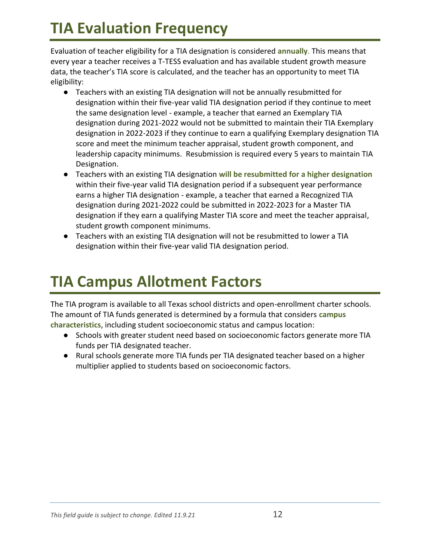## <span id="page-11-0"></span>**TIA Evaluation Frequency**

Evaluation of teacher eligibility for a TIA designation is considered **annually**. This means that every year a teacher receives a T-TESS evaluation and has available student growth measure data, the teacher's TIA score is calculated, and the teacher has an opportunity to meet TIA eligibility:

- Teachers with an existing TIA designation will not be annually resubmitted for designation within their five-year valid TIA designation period if they continue to meet the same designation level - example, a teacher that earned an Exemplary TIA designation during 2021-2022 would not be submitted to maintain their TIA Exemplary designation in 2022-2023 if they continue to earn a qualifying Exemplary designation TIA score and meet the minimum teacher appraisal, student growth component, and leadership capacity minimums. Resubmission is required every 5 years to maintain TIA Designation.
- Teachers with an existing TIA designation **will be resubmitted for a higher designation**  within their five-year valid TIA designation period if a subsequent year performance earns a higher TIA designation - example, a teacher that earned a Recognized TIA designation during 2021-2022 could be submitted in 2022-2023 for a Master TIA designation if they earn a qualifying Master TIA score and meet the teacher appraisal, student growth component minimums.
- Teachers with an existing TIA designation will not be resubmitted to lower a TIA designation within their five-year valid TIA designation period.

## <span id="page-11-1"></span>**TIA Campus Allotment Factors**

The TIA program is available to all Texas school districts and open-enrollment charter schools. The amount of TIA funds generated is determined by a formula that considers **campus characteristics**, including student socioeconomic status and campus location:

- Schools with greater student need based on socioeconomic factors generate more TIA funds per TIA designated teacher.
- Rural schools generate more TIA funds per TIA designated teacher based on a higher multiplier applied to students based on socioeconomic factors.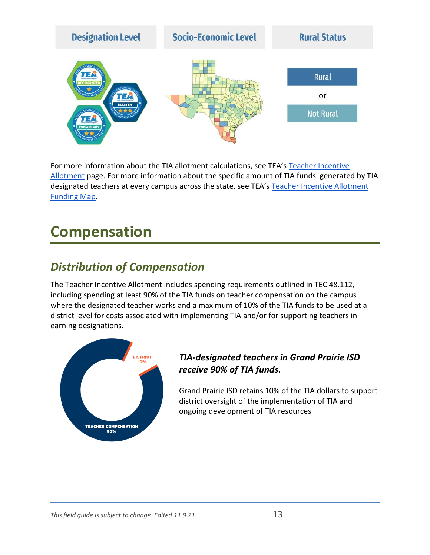

For more information about the TIA allotment calculations, see TEA's [Teacher Incentive](https://tiatexas.org/about-teacher-incentive-allotment/allotments/)  [Allotment](https://tiatexas.org/about-teacher-incentive-allotment/allotments/) page. For more information about the specific amount of TIA funds generated by TIA designated teachers at every campus across the state, see TEA's [Teacher Incentive Allotment](https://tiatexas.org/about-teacher-incentive-allotment/funding-allocations-map/)  [Funding Map.](https://tiatexas.org/about-teacher-incentive-allotment/funding-allocations-map/)

## <span id="page-12-0"></span>**Compensation**

### <span id="page-12-1"></span>*Distribution of Compensation*

The Teacher Incentive Allotment includes spending requirements outlined in TEC 48.112, including spending at least 90% of the TIA funds on teacher compensation on the campus where the designated teacher works and a maximum of 10% of the TIA funds to be used at a district level for costs associated with implementing TIA and/or for supporting teachers in earning designations.



#### *TIA-designated teachers in Grand Prairie ISD receive 90% of TIA funds.*

Grand Prairie ISD retains 10% of the TIA dollars to support district oversight of the implementation of TIA and ongoing development of TIA resources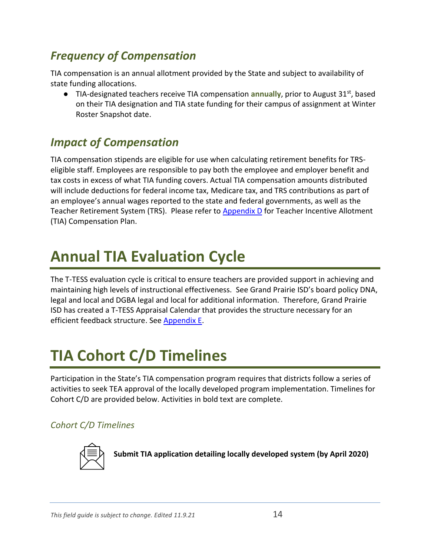### <span id="page-13-0"></span>*Frequency of Compensation*

TIA compensation is an annual allotment provided by the State and subject to availability of state funding allocations.

● TIA-designated teachers receive TIA compensation **annually**, prior to August 31<sup>st</sup>, based on their TIA designation and TIA state funding for their campus of assignment at Winter Roster Snapshot date.

### <span id="page-13-1"></span>*Impact of Compensation*

TIA compensation stipends are eligible for use when calculating retirement benefits for TRSeligible staff. Employees are responsible to pay both the employee and employer benefit and tax costs in excess of what TIA funding covers. Actual TIA compensation amounts distributed will include deductions for federal income tax, Medicare tax, and TRS contributions as part of an employee's annual wages reported to the state and federal governments, as well as the Teacher Retirement System (TRS). Please refer to [Appendix D](#page-19-1) for Teacher Incentive Allotment (TIA) Compensation Plan.

## <span id="page-13-2"></span>**Annual TIA Evaluation Cycle**

The T-TESS evaluation cycle is critical to ensure teachers are provided support in achieving and maintaining high levels of instructional effectiveness. See Grand Prairie ISD's board policy DNA, legal and local and DGBA legal and local for additional information. Therefore, Grand Prairie ISD has created a T-TESS Appraisal Calendar that provides the structure necessary for an efficient feedback structure. Se[e Appendix E.](#page-21-0)

## <span id="page-13-3"></span>**TIA Cohort C/D Timelines**

Participation in the State's TIA compensation program requires that districts follow a series of activities to seek TEA approval of the locally developed program implementation. Timelines for Cohort C/D are provided below. Activities in bold text are complete.

#### *Cohort C/D Timelines*



**Submit TIA application detailing locally developed system (by April 2020)**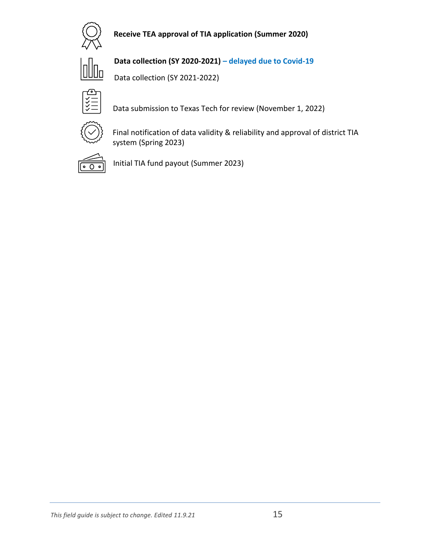

#### **Receive TEA approval of TIA application (Summer 2020)**



**Data collection (SY 2020-2021) – delayed due to Covid-19**

Data collection (SY 2021-2022)



Data submission to Texas Tech for review (November 1, 2022)



Final notification of data validity & reliability and approval of district TIA system (Spring 2023)



Initial TIA fund payout (Summer 2023)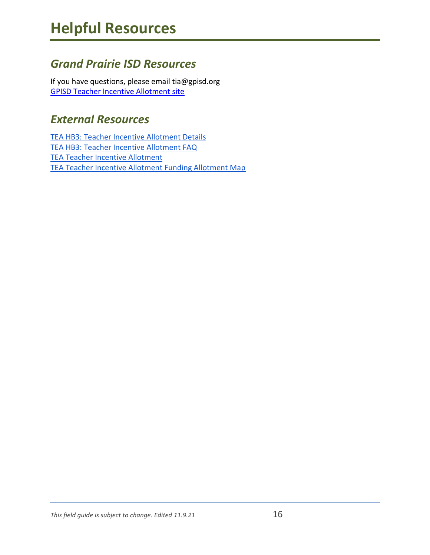### <span id="page-15-1"></span><span id="page-15-0"></span>*Grand Prairie ISD Resources*

If you have questions, please email tia@gpisd.org [GPISD Teacher Incentive Allotment site](https://www.gpisd.org/TIA) 

#### <span id="page-15-2"></span>*External Resources*

[TEA HB3: Teacher Incentive Allotment Details](https://tea.texas.gov/about-tea/news-and-multimedia/correspondence/taa-letters/house-bill-3-hb-3-implementation-teacher-incentive-allotment) [TEA HB3: Teacher Incentive Allotment FAQ](https://tea.texas.gov/about-tea/government-relations-and-legal/government-relations/hb-3-faq-supports-teachers-and-rewards-teacher-excellence) [TEA Teacher Incentive Allotment](https://tiatexas.org/) [TEA Teacher Incentive Allotment Funding Allotment Map](https://tiatexas.org/funding/)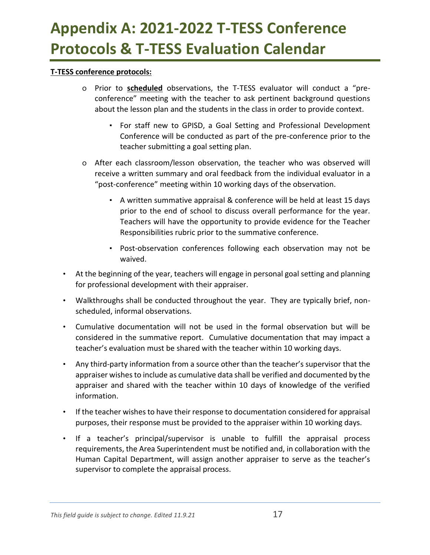## <span id="page-16-0"></span>**Appendix A: 2021-2022 T-TESS Conference Protocols & T-TESS Evaluation Calendar**

#### **T-TESS conference protocols:**

- o Prior to **scheduled** observations, the T-TESS evaluator will conduct a "preconference" meeting with the teacher to ask pertinent background questions about the lesson plan and the students in the class in order to provide context.
	- For staff new to GPISD, a Goal Setting and Professional Development Conference will be conducted as part of the pre-conference prior to the teacher submitting a goal setting plan.
- o After each classroom/lesson observation, the teacher who was observed will receive a written summary and oral feedback from the individual evaluator in a "post-conference" meeting within 10 working days of the observation.
	- A written summative appraisal & conference will be held at least 15 days prior to the end of school to discuss overall performance for the year. Teachers will have the opportunity to provide evidence for the Teacher Responsibilities rubric prior to the summative conference.
	- Post-observation conferences following each observation may not be waived.
- At the beginning of the year, teachers will engage in personal goal setting and planning for professional development with their appraiser.
- Walkthroughs shall be conducted throughout the year. They are typically brief, nonscheduled, informal observations.
- Cumulative documentation will not be used in the formal observation but will be considered in the summative report. Cumulative documentation that may impact a teacher's evaluation must be shared with the teacher within 10 working days.
- Any third-party information from a source other than the teacher's supervisor that the appraiser wishes to include as cumulative data shall be verified and documented by the appraiser and shared with the teacher within 10 days of knowledge of the verified information.
- If the teacher wishes to have their response to documentation considered for appraisal purposes, their response must be provided to the appraiser within 10 working days.
- If a teacher's principal/supervisor is unable to fulfill the appraisal process requirements, the Area Superintendent must be notified and, in collaboration with the Human Capital Department, will assign another appraiser to serve as the teacher's supervisor to complete the appraisal process.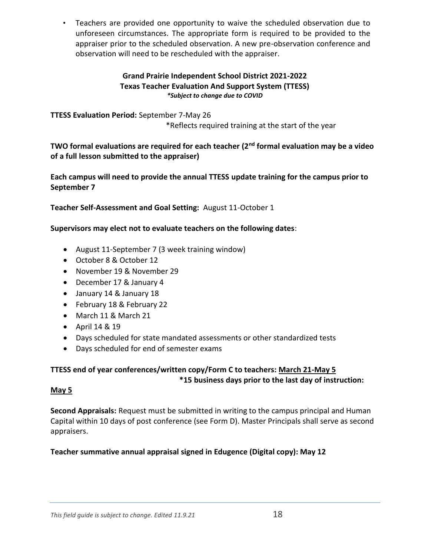• Teachers are provided one opportunity to waive the scheduled observation due to unforeseen circumstances. The appropriate form is required to be provided to the appraiser prior to the scheduled observation. A new pre-observation conference and observation will need to be rescheduled with the appraiser.

#### **Grand Prairie Independent School District 2021-2022 Texas Teacher Evaluation And Support System (TTESS)** *\*Subject to change due to COVID*

**TTESS Evaluation Period:** September 7-May 26 \*Reflects required training at the start of the year

**TWO formal evaluations are required for each teacher (2nd formal evaluation may be a video of a full lesson submitted to the appraiser)**

**Each campus will need to provide the annual TTESS update training for the campus prior to September 7**

**Teacher Self-Assessment and Goal Setting:** August 11-October 1

#### **Supervisors may elect not to evaluate teachers on the following dates**:

- August 11-September 7 (3 week training window)
- October 8 & October 12
- November 19 & November 29
- December 17 & January 4
- January 14 & January 18
- February 18 & February 22
- March 11 & March 21
- April 14 & 19
- Days scheduled for state mandated assessments or other standardized tests
- Days scheduled for end of semester exams

#### **TTESS end of year conferences/written copy/Form C to teachers: March 21-May 5 \*15 business days prior to the last day of instruction:**

#### **May 5**

**Second Appraisals:** Request must be submitted in writing to the campus principal and Human Capital within 10 days of post conference (see Form D). Master Principals shall serve as second appraisers.

**Teacher summative annual appraisal signed in Edugence (Digital copy): May 12**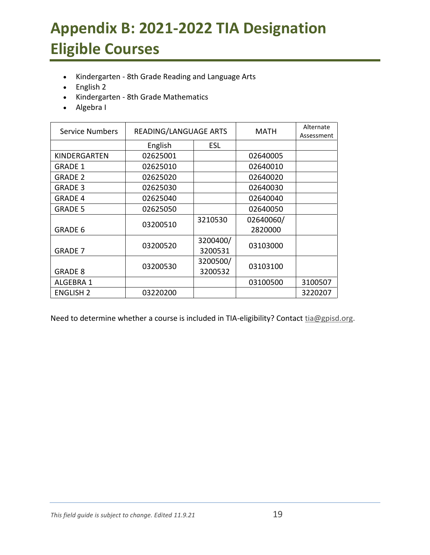# <span id="page-18-0"></span>**Appendix B: 2021-2022 TIA Designation Eligible Courses**

- Kindergarten 8th Grade Reading and Language Arts
- English 2
- Kindergarten 8th Grade Mathematics
- Algebra I

| <b>Service Numbers</b> | READING/LANGUAGE ARTS |            | <b>MATH</b> | Alternate  |
|------------------------|-----------------------|------------|-------------|------------|
|                        |                       |            |             | Assessment |
|                        | English               | <b>ESL</b> |             |            |
| KINDERGARTEN           | 02625001              |            | 02640005    |            |
| <b>GRADE 1</b>         | 02625010              |            | 02640010    |            |
| <b>GRADE 2</b>         | 02625020              |            | 02640020    |            |
| <b>GRADE 3</b>         | 02625030              |            | 02640030    |            |
| <b>GRADE 4</b>         | 02625040              |            | 02640040    |            |
| <b>GRADE 5</b>         | 02625050              |            | 02640050    |            |
|                        |                       | 3210530    | 02640060/   |            |
| <b>GRADE 6</b>         | 03200510              |            | 2820000     |            |
|                        | 03200520              | 3200400/   | 03103000    |            |
| <b>GRADE 7</b>         |                       | 3200531    |             |            |
|                        | 03200530              | 3200500/   | 03103100    |            |
| <b>GRADE 8</b>         |                       | 3200532    |             |            |
| ALGEBRA 1              |                       |            | 03100500    | 3100507    |
| <b>ENGLISH 2</b>       | 03220200              |            |             | 3220207    |

Need to determine whether a course is included in TIA-eligibility? Contact [tia@gpisd.org.](mailto:tia@gpisd.org)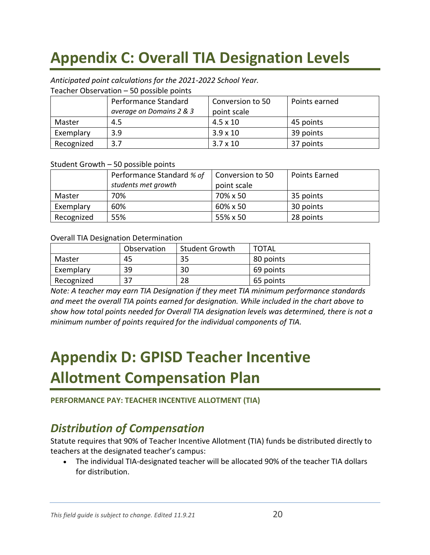# <span id="page-19-0"></span>**Appendix C: Overall TIA Designation Levels**

#### *Anticipated point calculations for the 2021-2022 School Year.*

Teacher Observation – 50 possible points

|            | Performance Standard     | Conversion to 50 | Points earned |
|------------|--------------------------|------------------|---------------|
|            | average on Domains 2 & 3 | point scale      |               |
| Master     | 4.5                      | $4.5 \times 10$  | 45 points     |
| Exemplary  | 3.9                      | $3.9 \times 10$  | 39 points     |
| Recognized | 3.7                      | $3.7 \times 10$  | 37 points     |

#### Student Growth – 50 possible points

|            | Performance Standard % of<br>students met growth | Conversion to 50<br>point scale | <b>Points Earned</b> |
|------------|--------------------------------------------------|---------------------------------|----------------------|
| Master     | 70%                                              | 70% x 50                        | 35 points            |
| Exemplary  | 60%                                              | 60% x 50                        | 30 points            |
| Recognized | 55%                                              | 55% x 50                        | 28 points            |

#### Overall TIA Designation Determination

|            | Observation | <b>Student Growth</b> | <b>TOTAL</b> |
|------------|-------------|-----------------------|--------------|
| Master     | 45          | 35                    | 80 points    |
| Exemplary  | 39          | 30                    | 69 points    |
| Recognized | っっ          | 28                    | 65 points    |

*Note: A teacher may earn TIA Designation if they meet TIA minimum performance standards and meet the overall TIA points earned for designation. While included in the chart above to show how total points needed for Overall TIA designation levels was determined, there is not a minimum number of points required for the individual components of TIA.*

## <span id="page-19-1"></span>**Appendix D: GPISD Teacher Incentive Allotment Compensation Plan**

**PERFORMANCE PAY: TEACHER INCENTIVE ALLOTMENT (TIA)**

#### *Distribution of Compensation*

Statute requires that 90% of Teacher Incentive Allotment (TIA) funds be distributed directly to teachers at the designated teacher's campus:

• The individual TIA-designated teacher will be allocated 90% of the teacher TIA dollars for distribution.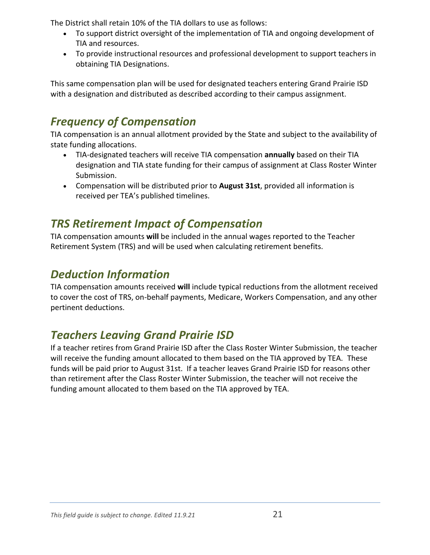The District shall retain 10% of the TIA dollars to use as follows:

- To support district oversight of the implementation of TIA and ongoing development of TIA and resources.
- To provide instructional resources and professional development to support teachers in obtaining TIA Designations.

This same compensation plan will be used for designated teachers entering Grand Prairie ISD with a designation and distributed as described according to their campus assignment.

### *Frequency of Compensation*

TIA compensation is an annual allotment provided by the State and subject to the availability of state funding allocations.

- TIA-designated teachers will receive TIA compensation **annually** based on their TIA designation and TIA state funding for their campus of assignment at Class Roster Winter Submission.
- Compensation will be distributed prior to **August 31st**, provided all information is received per TEA's published timelines.

### *TRS Retirement Impact of Compensation*

TIA compensation amounts **will** be included in the annual wages reported to the Teacher Retirement System (TRS) and will be used when calculating retirement benefits.

#### *Deduction Information*

TIA compensation amounts received **will** include typical reductions from the allotment received to cover the cost of TRS, on-behalf payments, Medicare, Workers Compensation, and any other pertinent deductions.

### *Teachers Leaving Grand Prairie ISD*

If a teacher retires from Grand Prairie ISD after the Class Roster Winter Submission, the teacher will receive the funding amount allocated to them based on the TIA approved by TEA. These funds will be paid prior to August 31st. If a teacher leaves Grand Prairie ISD for reasons other than retirement after the Class Roster Winter Submission, the teacher will not receive the funding amount allocated to them based on the TIA approved by TEA.